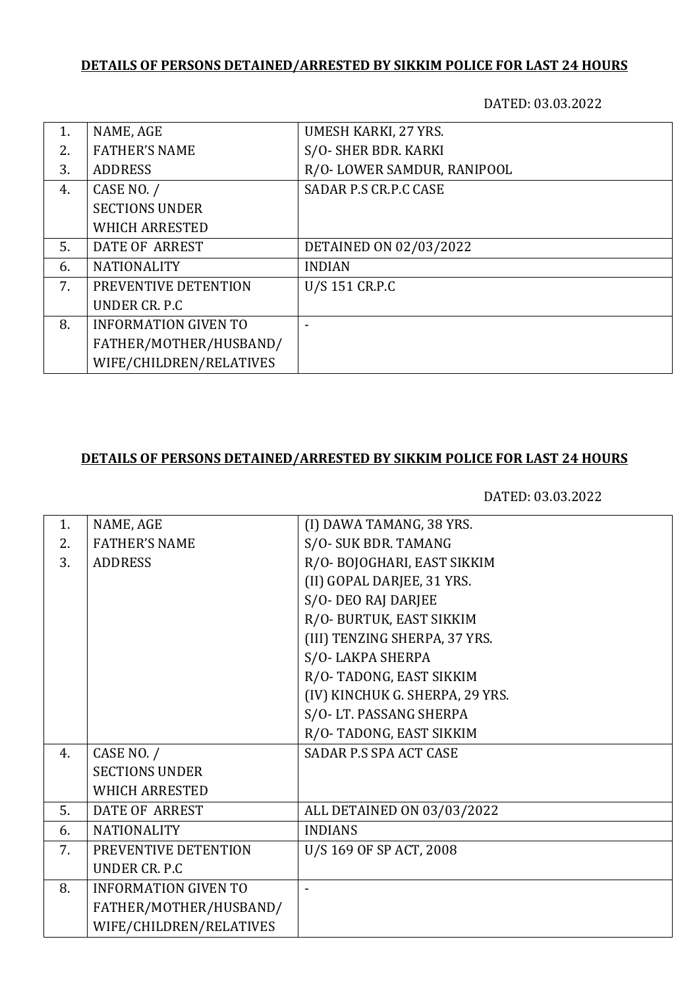## **DETAILS OF PERSONS DETAINED/ARRESTED BY SIKKIM POLICE FOR LAST 24 HOURS**

DATED: 03.03.2022

| NAME, AGE                   | UMESH KARKI, 27 YRS.       |
|-----------------------------|----------------------------|
| <b>FATHER'S NAME</b>        | S/O- SHER BDR. KARKI       |
| <b>ADDRESS</b>              | R/O-LOWER SAMDUR, RANIPOOL |
| CASE NO. /                  | SADAR P.S CR.P.C CASE      |
| <b>SECTIONS UNDER</b>       |                            |
| <b>WHICH ARRESTED</b>       |                            |
| DATE OF ARREST              | DETAINED ON 02/03/2022     |
| <b>NATIONALITY</b>          | <b>INDIAN</b>              |
| PREVENTIVE DETENTION        | U/S 151 CR.P.C             |
| UNDER CR. P.C.              |                            |
| <b>INFORMATION GIVEN TO</b> |                            |
| FATHER/MOTHER/HUSBAND/      |                            |
| WIFE/CHILDREN/RELATIVES     |                            |
|                             |                            |

# **DETAILS OF PERSONS DETAINED/ARRESTED BY SIKKIM POLICE FOR LAST 24 HOURS**

DATED: 03.03.2022

| 1. | NAME, AGE                   | (I) DAWA TAMANG, 38 YRS.        |
|----|-----------------------------|---------------------------------|
| 2. | <b>FATHER'S NAME</b>        | S/O-SUK BDR. TAMANG             |
| 3. | <b>ADDRESS</b>              | R/O-BOJOGHARI, EAST SIKKIM      |
|    |                             | (II) GOPAL DARJEE, 31 YRS.      |
|    |                             | S/O-DEO RAJ DARJEE              |
|    |                             | R/O- BURTUK, EAST SIKKIM        |
|    |                             | (III) TENZING SHERPA, 37 YRS.   |
|    |                             | S/O-LAKPA SHERPA                |
|    |                             | R/O-TADONG, EAST SIKKIM         |
|    |                             | (IV) KINCHUK G. SHERPA, 29 YRS. |
|    |                             | S/O-LT. PASSANG SHERPA          |
|    |                             | R/O-TADONG, EAST SIKKIM         |
| 4. | CASE NO. /                  | SADAR P.S SPA ACT CASE          |
|    | <b>SECTIONS UNDER</b>       |                                 |
|    | <b>WHICH ARRESTED</b>       |                                 |
| 5. | <b>DATE OF ARREST</b>       | ALL DETAINED ON 03/03/2022      |
| 6. | <b>NATIONALITY</b>          | <b>INDIANS</b>                  |
| 7. | PREVENTIVE DETENTION        | U/S 169 OF SP ACT, 2008         |
|    | UNDER CR. P.C.              |                                 |
| 8. | <b>INFORMATION GIVEN TO</b> |                                 |
|    | FATHER/MOTHER/HUSBAND/      |                                 |
|    | WIFE/CHILDREN/RELATIVES     |                                 |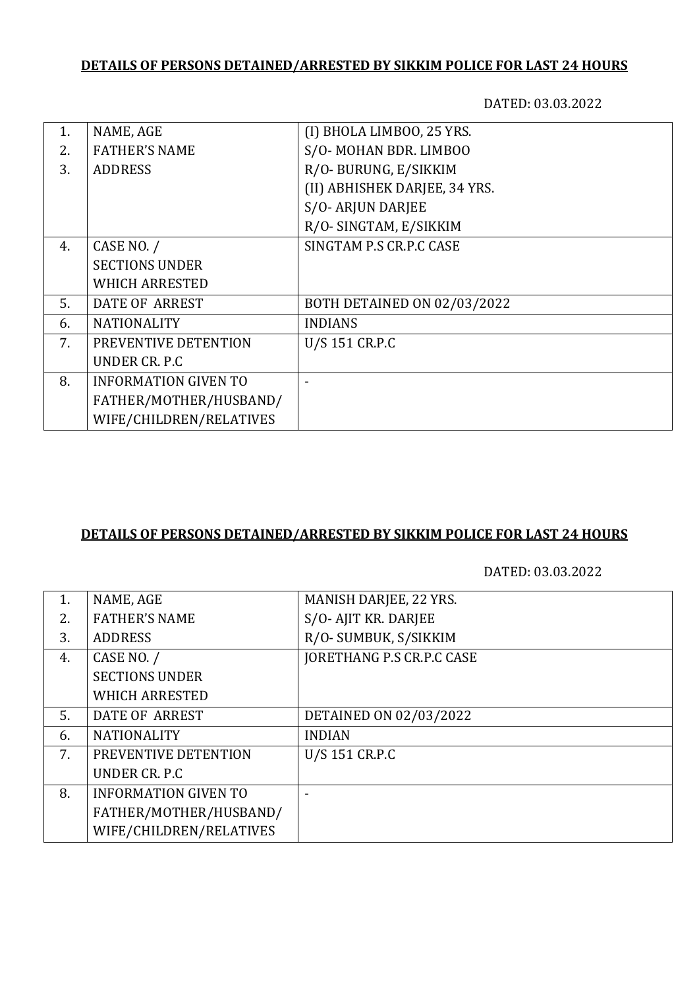## **DETAILS OF PERSONS DETAINED/ARRESTED BY SIKKIM POLICE FOR LAST 24 HOURS**

DATED: 03.03.2022

| NAME, AGE                   | (I) BHOLA LIMBOO, 25 YRS.     |
|-----------------------------|-------------------------------|
| <b>FATHER'S NAME</b>        | S/O-MOHAN BDR. LIMBOO         |
| <b>ADDRESS</b>              | R/O-BURUNG, E/SIKKIM          |
|                             | (II) ABHISHEK DARJEE, 34 YRS. |
|                             | S/O-ARJUN DARJEE              |
|                             | R/O-SINGTAM, E/SIKKIM         |
| CASE NO. /                  | SINGTAM P.S CR.P.C CASE       |
| <b>SECTIONS UNDER</b>       |                               |
| <b>WHICH ARRESTED</b>       |                               |
| <b>DATE OF ARREST</b>       | BOTH DETAINED ON 02/03/2022   |
| <b>NATIONALITY</b>          | <b>INDIANS</b>                |
| PREVENTIVE DETENTION        | U/S 151 CR.P.C                |
| UNDER CR. P.C.              |                               |
| <b>INFORMATION GIVEN TO</b> |                               |
| FATHER/MOTHER/HUSBAND/      |                               |
| WIFE/CHILDREN/RELATIVES     |                               |
|                             |                               |

#### **DETAILS OF PERSONS DETAINED/ARRESTED BY SIKKIM POLICE FOR LAST 24 HOURS**

DATED: 03.03.2022

| 1. | NAME, AGE                   | MANISH DARJEE, 22 YRS.           |
|----|-----------------------------|----------------------------------|
| 2. | <b>FATHER'S NAME</b>        | S/O-AJIT KR. DARJEE              |
| 3. | <b>ADDRESS</b>              | R/O- SUMBUK, S/SIKKIM            |
| 4. | CASE NO. /                  | <b>JORETHANG P.S CR.P.C CASE</b> |
|    | <b>SECTIONS UNDER</b>       |                                  |
|    | <b>WHICH ARRESTED</b>       |                                  |
| 5. | DATE OF ARREST              | DETAINED ON 02/03/2022           |
| 6. | <b>NATIONALITY</b>          | <b>INDIAN</b>                    |
| 7. | PREVENTIVE DETENTION        | U/S 151 CR.P.C                   |
|    | UNDER CR. P.C.              |                                  |
| 8. | <b>INFORMATION GIVEN TO</b> |                                  |
|    | FATHER/MOTHER/HUSBAND/      |                                  |
|    | WIFE/CHILDREN/RELATIVES     |                                  |
|    |                             |                                  |